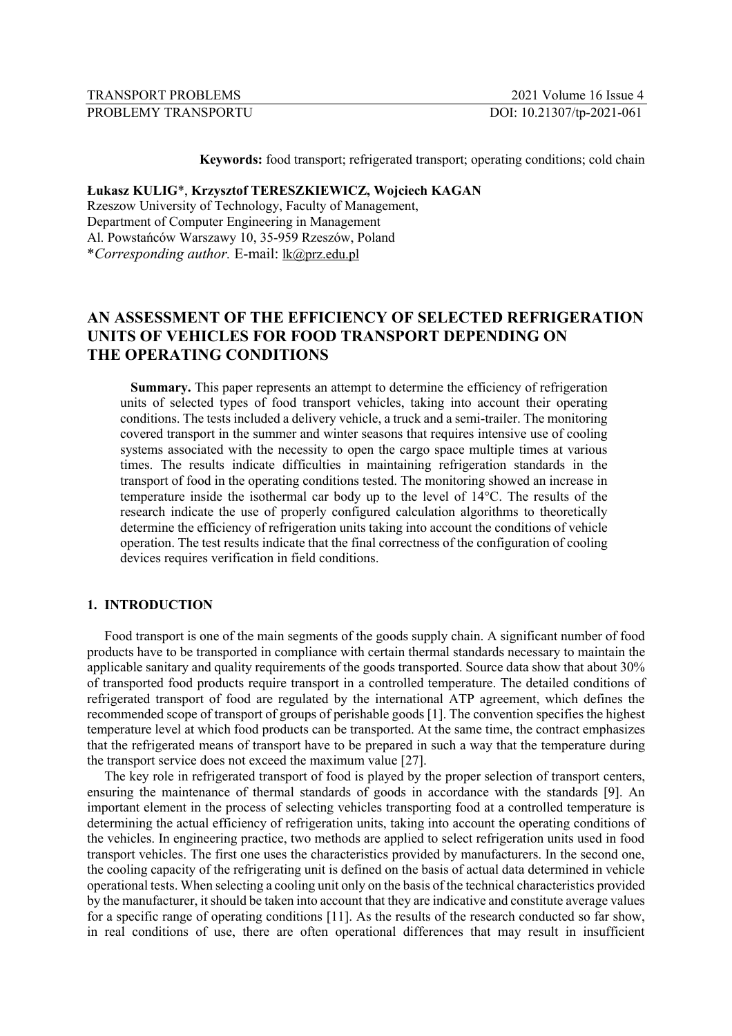| TRANSPORT PROBLEMS   | 2021 Volume 16 Issue 4    |
|----------------------|---------------------------|
| PROBLEMY TRANSPORTU- | DOI: 10.21307/tp-2021-061 |

**Keywords:** food transport; refrigerated transport; operating conditions; cold chain

## **Łukasz KULIG**\*, **Krzysztof TERESZKIEWICZ, Wojciech KAGAN**

Rzeszow University of Technology, Faculty of Management, Department of Computer Engineering in Management Al. Powstańców Warszawy 10, 35-959 Rzeszów, Poland \**Corresponding author.* E-mail: lk@prz.edu.pl

# **AN ASSESSMENT OF THE EFFICIENCY OF SELECTED REFRIGERATION UNITS OF VEHICLES FOR FOOD TRANSPORT DEPENDING ON THE OPERATING CONDITIONS**

**Summary.** This paper represents an attempt to determine the efficiency of refrigeration units of selected types of food transport vehicles, taking into account their operating conditions. The tests included a delivery vehicle, a truck and a semi-trailer. The monitoring covered transport in the summer and winter seasons that requires intensive use of cooling systems associated with the necessity to open the cargo space multiple times at various times. The results indicate difficulties in maintaining refrigeration standards in the transport of food in the operating conditions tested. The monitoring showed an increase in temperature inside the isothermal car body up to the level of 14°C. The results of the research indicate the use of properly configured calculation algorithms to theoretically determine the efficiency of refrigeration units taking into account the conditions of vehicle operation. The test results indicate that the final correctness of the configuration of cooling devices requires verification in field conditions.

### **1. INTRODUCTION**

Food transport is one of the main segments of the goods supply chain. A significant number of food products have to be transported in compliance with certain thermal standards necessary to maintain the applicable sanitary and quality requirements of the goods transported. Source data show that about 30% of transported food products require transport in a controlled temperature. The detailed conditions of refrigerated transport of food are regulated by the international ATP agreement, which defines the recommended scope of transport of groups of perishable goods [1]. The convention specifies the highest temperature level at which food products can be transported. At the same time, the contract emphasizes that the refrigerated means of transport have to be prepared in such a way that the temperature during the transport service does not exceed the maximum value [27].

The key role in refrigerated transport of food is played by the proper selection of transport centers, ensuring the maintenance of thermal standards of goods in accordance with the standards [9]. An important element in the process of selecting vehicles transporting food at a controlled temperature is determining the actual efficiency of refrigeration units, taking into account the operating conditions of the vehicles. In engineering practice, two methods are applied to select refrigeration units used in food transport vehicles. The first one uses the characteristics provided by manufacturers. In the second one, the cooling capacity of the refrigerating unit is defined on the basis of actual data determined in vehicle operational tests. When selecting a cooling unit only on the basis of the technical characteristics provided by the manufacturer, it should be taken into account that they are indicative and constitute average values for a specific range of operating conditions [11]. As the results of the research conducted so far show, in real conditions of use, there are often operational differences that may result in insufficient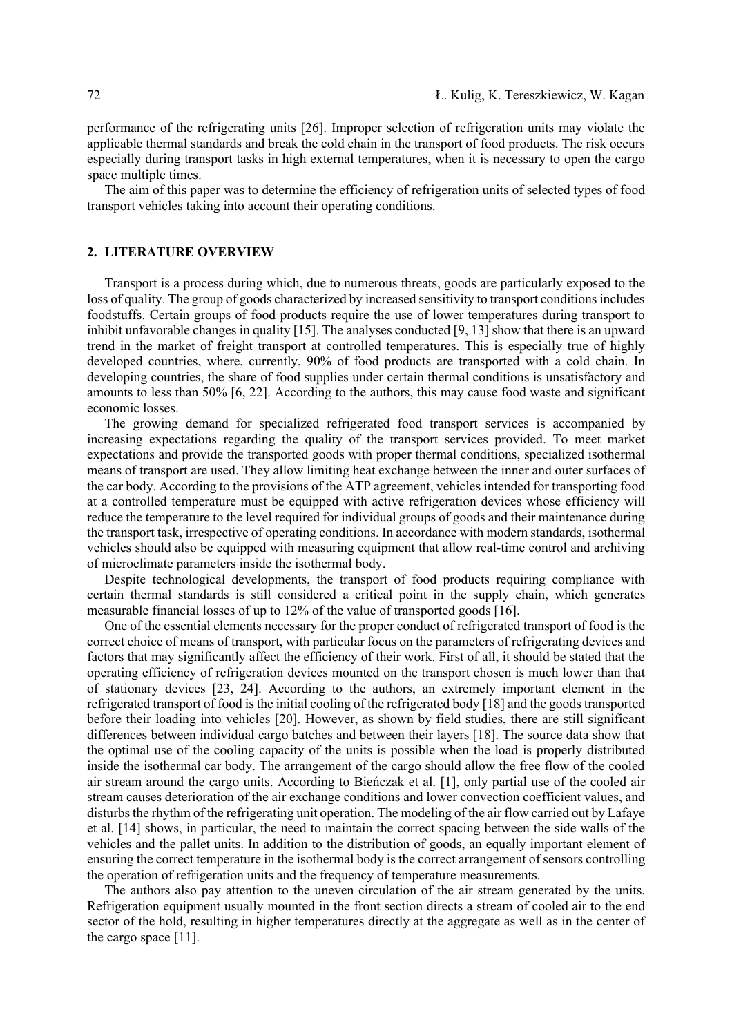performance of the refrigerating units [26]. Improper selection of refrigeration units may violate the applicable thermal standards and break the cold chain in the transport of food products. The risk occurs especially during transport tasks in high external temperatures, when it is necessary to open the cargo space multiple times.

The aim of this paper was to determine the efficiency of refrigeration units of selected types of food transport vehicles taking into account their operating conditions.

### **2. LITERATURE OVERVIEW**

Transport is a process during which, due to numerous threats, goods are particularly exposed to the loss of quality. The group of goods characterized by increased sensitivity to transport conditions includes foodstuffs. Certain groups of food products require the use of lower temperatures during transport to inhibit unfavorable changes in quality [15]. The analyses conducted [9, 13] show that there is an upward trend in the market of freight transport at controlled temperatures. This is especially true of highly developed countries, where, currently, 90% of food products are transported with a cold chain. In developing countries, the share of food supplies under certain thermal conditions is unsatisfactory and amounts to less than 50% [6, 22]. According to the authors, this may cause food waste and significant economic losses.

The growing demand for specialized refrigerated food transport services is accompanied by increasing expectations regarding the quality of the transport services provided. To meet market expectations and provide the transported goods with proper thermal conditions, specialized isothermal means of transport are used. They allow limiting heat exchange between the inner and outer surfaces of the car body. According to the provisions of the ATP agreement, vehicles intended for transporting food at a controlled temperature must be equipped with active refrigeration devices whose efficiency will reduce the temperature to the level required for individual groups of goods and their maintenance during the transport task, irrespective of operating conditions. In accordance with modern standards, isothermal vehicles should also be equipped with measuring equipment that allow real-time control and archiving of microclimate parameters inside the isothermal body.

Despite technological developments, the transport of food products requiring compliance with certain thermal standards is still considered a critical point in the supply chain, which generates measurable financial losses of up to 12% of the value of transported goods [16].

One of the essential elements necessary for the proper conduct of refrigerated transport of food is the correct choice of means of transport, with particular focus on the parameters of refrigerating devices and factors that may significantly affect the efficiency of their work. First of all, it should be stated that the operating efficiency of refrigeration devices mounted on the transport chosen is much lower than that of stationary devices [23, 24]. According to the authors, an extremely important element in the refrigerated transport of food is the initial cooling of the refrigerated body [18] and the goods transported before their loading into vehicles [20]. However, as shown by field studies, there are still significant differences between individual cargo batches and between their layers [18]. The source data show that the optimal use of the cooling capacity of the units is possible when the load is properly distributed inside the isothermal car body. The arrangement of the cargo should allow the free flow of the cooled air stream around the cargo units. According to Bieńczak et al. [1], only partial use of the cooled air stream causes deterioration of the air exchange conditions and lower convection coefficient values, and disturbs the rhythm of the refrigerating unit operation. The modeling of the air flow carried out by Lafaye et al. [14] shows, in particular, the need to maintain the correct spacing between the side walls of the vehicles and the pallet units. In addition to the distribution of goods, an equally important element of ensuring the correct temperature in the isothermal body is the correct arrangement of sensors controlling the operation of refrigeration units and the frequency of temperature measurements.

The authors also pay attention to the uneven circulation of the air stream generated by the units. Refrigeration equipment usually mounted in the front section directs a stream of cooled air to the end sector of the hold, resulting in higher temperatures directly at the aggregate as well as in the center of the cargo space [11].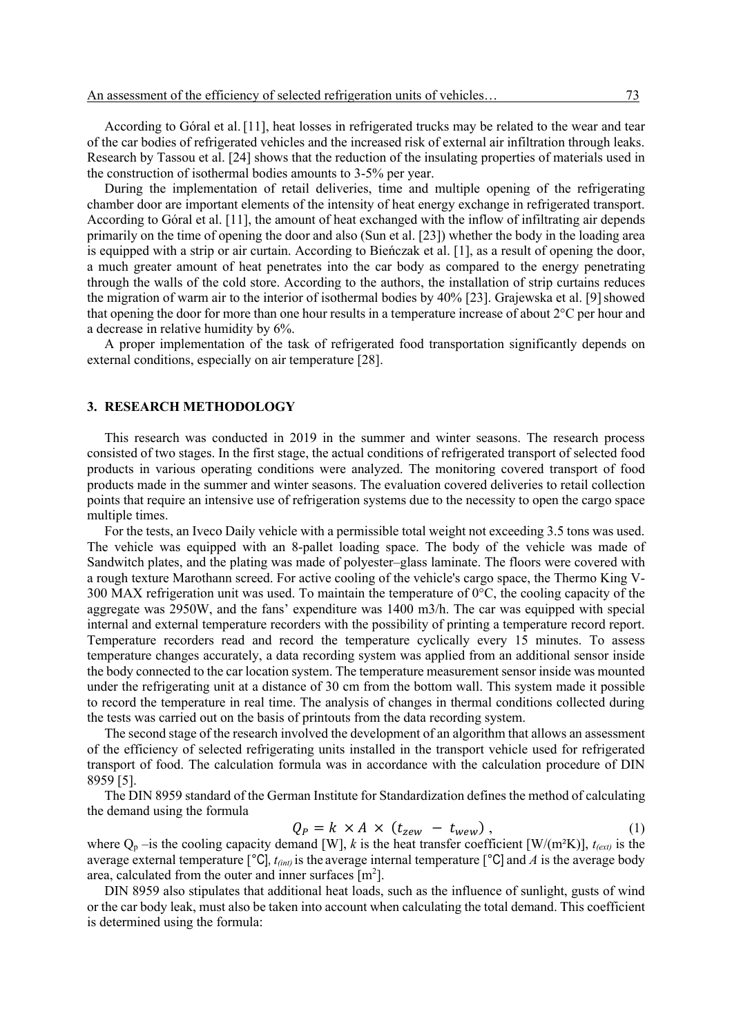According to Góral et al. [11], heat losses in refrigerated trucks may be related to the wear and tear of the car bodies of refrigerated vehicles and the increased risk of external air infiltration through leaks. Research by Tassou et al. [24] shows that the reduction of the insulating properties of materials used in the construction of isothermal bodies amounts to 3-5% per year.

During the implementation of retail deliveries, time and multiple opening of the refrigerating chamber door are important elements of the intensity of heat energy exchange in refrigerated transport. According to Góral et al. [11], the amount of heat exchanged with the inflow of infiltrating air depends primarily on the time of opening the door and also (Sun et al. [23]) whether the body in the loading area is equipped with a strip or air curtain. According to Bieńczak et al. [1], as a result of opening the door, a much greater amount of heat penetrates into the car body as compared to the energy penetrating through the walls of the cold store. According to the authors, the installation of strip curtains reduces the migration of warm air to the interior of isothermal bodies by 40% [23]. Grajewska et al. [9]showed that opening the door for more than one hour results in a temperature increase of about 2°C per hour and a decrease in relative humidity by 6%.

A proper implementation of the task of refrigerated food transportation significantly depends on external conditions, especially on air temperature [28].

#### **3. RESEARCH METHODOLOGY**

This research was conducted in 2019 in the summer and winter seasons. The research process consisted of two stages. In the first stage, the actual conditions of refrigerated transport of selected food products in various operating conditions were analyzed. The monitoring covered transport of food products made in the summer and winter seasons. The evaluation covered deliveries to retail collection points that require an intensive use of refrigeration systems due to the necessity to open the cargo space multiple times.

For the tests, an Iveco Daily vehicle with a permissible total weight not exceeding 3.5 tons was used. The vehicle was equipped with an 8-pallet loading space. The body of the vehicle was made of Sandwitch plates, and the plating was made of polyester–glass laminate. The floors were covered with a rough texture Marothann screed. For active cooling of the vehicle's cargo space, the Thermo King V-300 MAX refrigeration unit was used. To maintain the temperature of  $0^{\circ}$ C, the cooling capacity of the aggregate was 2950W, and the fans' expenditure was 1400 m3/h. The car was equipped with special internal and external temperature recorders with the possibility of printing a temperature record report. Temperature recorders read and record the temperature cyclically every 15 minutes. To assess temperature changes accurately, a data recording system was applied from an additional sensor inside the body connected to the car location system. The temperature measurement sensor inside was mounted under the refrigerating unit at a distance of 30 cm from the bottom wall. This system made it possible to record the temperature in real time. The analysis of changes in thermal conditions collected during the tests was carried out on the basis of printouts from the data recording system.

The second stage of the research involved the development of an algorithm that allows an assessment of the efficiency of selected refrigerating units installed in the transport vehicle used for refrigerated transport of food. The calculation formula was in accordance with the calculation procedure of DIN 8959 [5].

The DIN 8959 standard of the German Institute for Standardization defines the method of calculating the demand using the formula

$$
Q_P = k \times A \times (t_{zew} - t_{wew}), \qquad (1)
$$

where  $Q_p$  –is the cooling capacity demand [W], *k* is the heat transfer coefficient [W/(m<sup>2</sup>K)],  $t_{(ext)}$  is the average external temperature  $\lceil \text{°C} \rceil$ ,  $t_{(int)}$  is the average internal temperature  $\lceil \text{°C} \rceil$  and A is the average body area, calculated from the outer and inner surfaces  $[m^2]$ .

DIN 8959 also stipulates that additional heat loads, such as the influence of sunlight, gusts of wind or the car body leak, must also be taken into account when calculating the total demand. This coefficient is determined using the formula: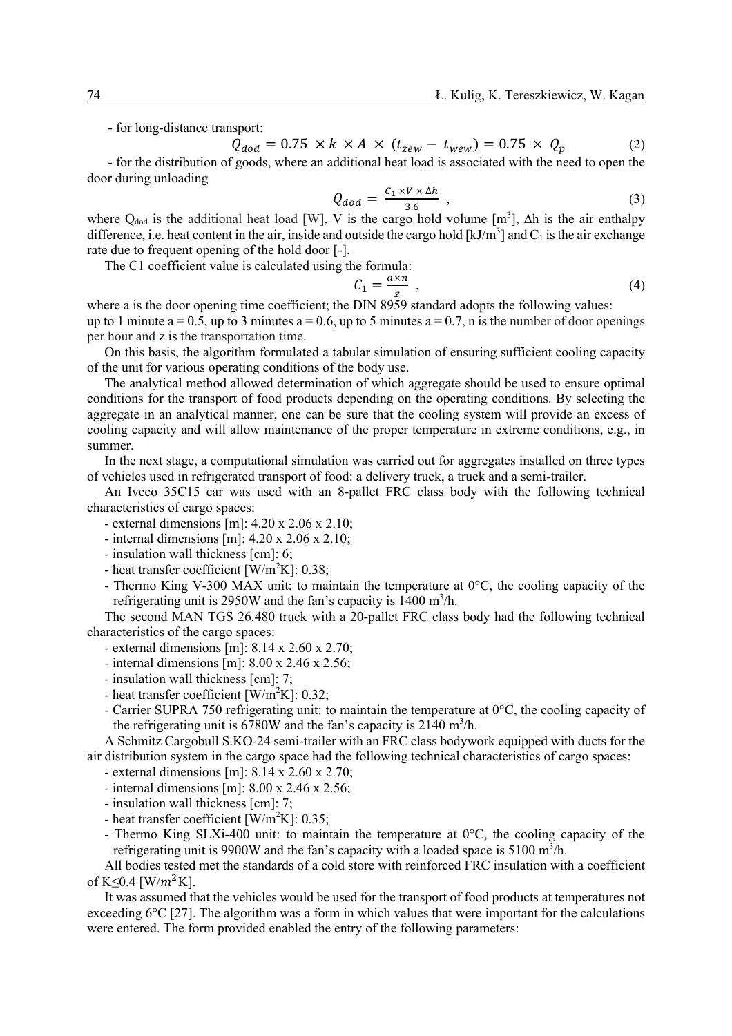- for long-distance transport:

 $Q_{dod} = 0.75 \times k \times A \times (t_{zew} - t_{wew}) = 0.75 \times Q_p$  (2)

- for the distribution of goods, where an additional heat load is associated with the need to open the door during unloading

$$
Q_{dod} = \frac{C_1 \times V \times \Delta h}{3.6} \tag{3}
$$

where Q<sub>dod</sub> is the additional heat load [W], V is the cargo hold volume  $[m^3]$ ,  $\Delta h$  is the air enthalpy difference, i.e. heat content in the air, inside and outside the cargo hold  $[kJ/m<sup>3</sup>]$  and  $C<sub>1</sub>$  is the air exchange rate due to frequent opening of the hold door [-].

The C1 coefficient value is calculated using the formula:

$$
C_1 = \frac{a \times n}{z} \tag{4}
$$

where a is the door opening time coefficient; the DIN 8959 standard adopts the following values: up to 1 minute a = 0.5, up to 3 minutes a = 0.6, up to 5 minutes a = 0.7, n is the number of door openings per hour and z is the transportation time.

On this basis, the algorithm formulated a tabular simulation of ensuring sufficient cooling capacity of the unit for various operating conditions of the body use.

The analytical method allowed determination of which aggregate should be used to ensure optimal conditions for the transport of food products depending on the operating conditions. By selecting the aggregate in an analytical manner, one can be sure that the cooling system will provide an excess of cooling capacity and will allow maintenance of the proper temperature in extreme conditions, e.g., in summer.

In the next stage, a computational simulation was carried out for aggregates installed on three types of vehicles used in refrigerated transport of food: a delivery truck, a truck and a semi-trailer.

An Iveco 35C15 car was used with an 8-pallet FRC class body with the following technical characteristics of cargo spaces:

- external dimensions [m]: 4.20 x 2.06 x 2.10;
- internal dimensions [m]: 4.20 x 2.06 x 2.10;
- insulation wall thickness [cm]: 6;
- heat transfer coefficient  $[W/m^2K]$ : 0.38;
- Thermo King V-300 MAX unit: to maintain the temperature at  $0^{\circ}$ C, the cooling capacity of the refrigerating unit is 2950W and the fan's capacity is  $1400 \text{ m}^3/\text{h}$ .

The second MAN TGS 26.480 truck with a 20-pallet FRC class body had the following technical characteristics of the cargo spaces:

- external dimensions [m]: 8.14 x 2.60 x 2.70;
- internal dimensions [m]: 8.00 x 2.46 x 2.56;
- insulation wall thickness [cm]: 7;
- heat transfer coefficient  $[W/m^2K]$ : 0.32;
- Carrier SUPRA 750 refrigerating unit: to maintain the temperature at 0°C, the cooling capacity of the refrigerating unit is  $6780W$  and the fan's capacity is  $2140 \text{ m}^3/\text{h}$ .

A Schmitz Cargobull S.KO-24 semi-trailer with an FRC class bodywork equipped with ducts for the air distribution system in the cargo space had the following technical characteristics of cargo spaces:

- external dimensions [m]: 8.14 x 2.60 x 2.70;
- internal dimensions [m]: 8.00 x 2.46 x 2.56;
- insulation wall thickness [cm]: 7;
- heat transfer coefficient  $[\text{W/m}^2\text{K}]$ : 0.35;
- Thermo King SLXi-400 unit: to maintain the temperature at  $0^{\circ}$ C, the cooling capacity of the refrigerating unit is 9900W and the fan's capacity with a loaded space is 5100 m<sup>3</sup>/h.

All bodies tested met the standards of a cold store with reinforced FRC insulation with a coefficient of K $\leq 0.4$  [W/ $m^2$ K].

It was assumed that the vehicles would be used for the transport of food products at temperatures not exceeding  $6^{\circ}C$  [27]. The algorithm was a form in which values that were important for the calculations were entered. The form provided enabled the entry of the following parameters: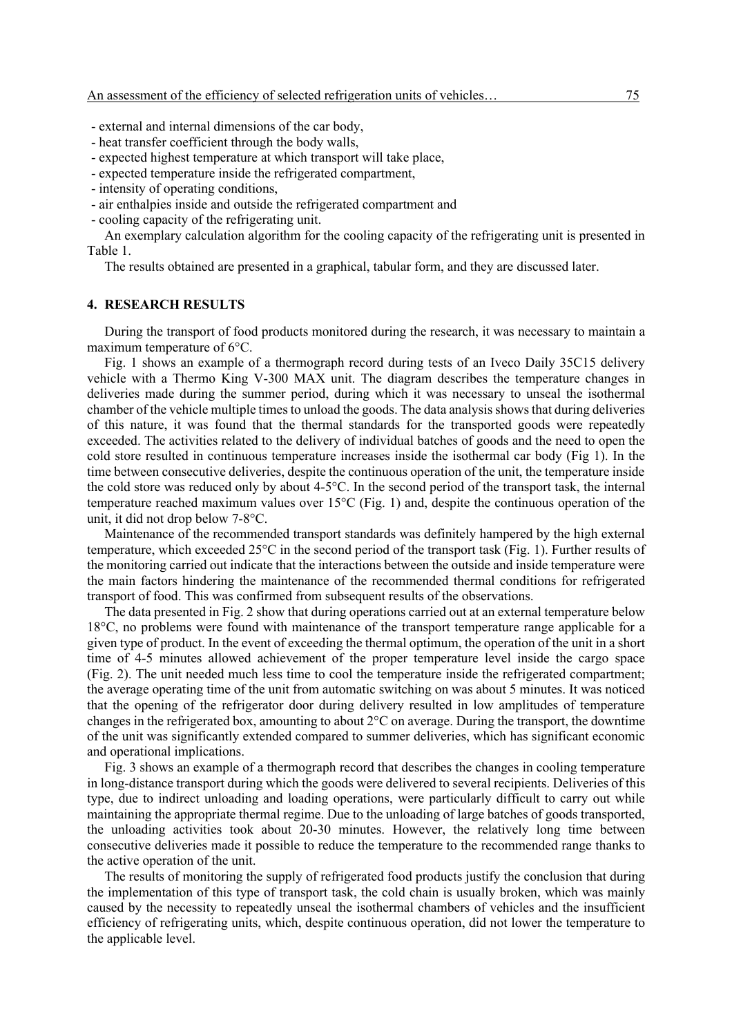- external and internal dimensions of the car body,
- heat transfer coefficient through the body walls,
- expected highest temperature at which transport will take place,
- expected temperature inside the refrigerated compartment,
- intensity of operating conditions,
- air enthalpies inside and outside the refrigerated compartment and
- cooling capacity of the refrigerating unit.

An exemplary calculation algorithm for the cooling capacity of the refrigerating unit is presented in Table 1.

The results obtained are presented in a graphical, tabular form, and they are discussed later.

### **4. RESEARCH RESULTS**

During the transport of food products monitored during the research, it was necessary to maintain a maximum temperature of 6°C.

Fig. 1 shows an example of a thermograph record during tests of an Iveco Daily 35C15 delivery vehicle with a Thermo King V-300 MAX unit. The diagram describes the temperature changes in deliveries made during the summer period, during which it was necessary to unseal the isothermal chamber of the vehicle multiple times to unload the goods. The data analysis shows that during deliveries of this nature, it was found that the thermal standards for the transported goods were repeatedly exceeded. The activities related to the delivery of individual batches of goods and the need to open the cold store resulted in continuous temperature increases inside the isothermal car body (Fig 1). In the time between consecutive deliveries, despite the continuous operation of the unit, the temperature inside the cold store was reduced only by about 4-5°C. In the second period of the transport task, the internal temperature reached maximum values over 15°C (Fig. 1) and, despite the continuous operation of the unit, it did not drop below 7-8°C.

Maintenance of the recommended transport standards was definitely hampered by the high external temperature, which exceeded 25°C in the second period of the transport task (Fig. 1). Further results of the monitoring carried out indicate that the interactions between the outside and inside temperature were the main factors hindering the maintenance of the recommended thermal conditions for refrigerated transport of food. This was confirmed from subsequent results of the observations.

The data presented in Fig. 2 show that during operations carried out at an external temperature below 18°C, no problems were found with maintenance of the transport temperature range applicable for a given type of product. In the event of exceeding the thermal optimum, the operation of the unit in a short time of 4-5 minutes allowed achievement of the proper temperature level inside the cargo space (Fig. 2). The unit needed much less time to cool the temperature inside the refrigerated compartment; the average operating time of the unit from automatic switching on was about 5 minutes. It was noticed that the opening of the refrigerator door during delivery resulted in low amplitudes of temperature changes in the refrigerated box, amounting to about 2°C on average. During the transport, the downtime of the unit was significantly extended compared to summer deliveries, which has significant economic and operational implications.

Fig. 3 shows an example of a thermograph record that describes the changes in cooling temperature in long-distance transport during which the goods were delivered to several recipients. Deliveries of this type, due to indirect unloading and loading operations, were particularly difficult to carry out while maintaining the appropriate thermal regime. Due to the unloading of large batches of goods transported, the unloading activities took about 20-30 minutes. However, the relatively long time between consecutive deliveries made it possible to reduce the temperature to the recommended range thanks to the active operation of the unit.

The results of monitoring the supply of refrigerated food products justify the conclusion that during the implementation of this type of transport task, the cold chain is usually broken, which was mainly caused by the necessity to repeatedly unseal the isothermal chambers of vehicles and the insufficient efficiency of refrigerating units, which, despite continuous operation, did not lower the temperature to the applicable level.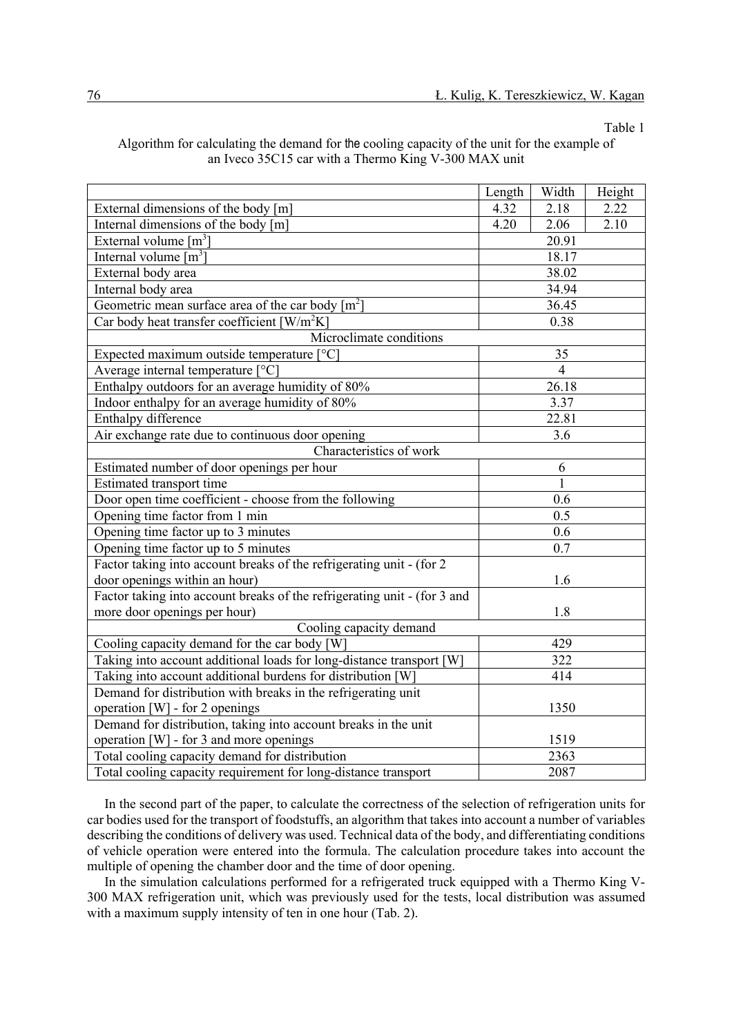Table 1

|                                                                          | Length               | Width          | Height |  |  |  |
|--------------------------------------------------------------------------|----------------------|----------------|--------|--|--|--|
| External dimensions of the body [m]                                      | 4.32                 | 2.18           | 2.22   |  |  |  |
| Internal dimensions of the body [m]                                      | 4.20<br>2.06<br>2.10 |                |        |  |  |  |
| External volume $[m^3]$                                                  | 20.91                |                |        |  |  |  |
| Internal volume $\lceil m^3 \rceil$                                      |                      | 18.17          |        |  |  |  |
| External body area                                                       |                      | 38.02          |        |  |  |  |
| Internal body area                                                       |                      | 34.94          |        |  |  |  |
| Geometric mean surface area of the car body $[m^2]$                      |                      | 36.45          |        |  |  |  |
| Car body heat transfer coefficient $\left[ W/m^2K \right]$               |                      | 0.38           |        |  |  |  |
| Microclimate conditions                                                  |                      |                |        |  |  |  |
| Expected maximum outside temperature [°C]                                |                      | 35             |        |  |  |  |
| Average internal temperature [°C]                                        |                      | $\overline{4}$ |        |  |  |  |
| Enthalpy outdoors for an average humidity of 80%                         |                      | 26.18          |        |  |  |  |
| Indoor enthalpy for an average humidity of 80%                           |                      | 3.37           |        |  |  |  |
| Enthalpy difference                                                      | 22.81                |                |        |  |  |  |
| Air exchange rate due to continuous door opening                         | 3.6                  |                |        |  |  |  |
| Characteristics of work                                                  |                      |                |        |  |  |  |
| Estimated number of door openings per hour                               | 6                    |                |        |  |  |  |
| Estimated transport time                                                 |                      | 1              |        |  |  |  |
| Door open time coefficient - choose from the following                   |                      | 0.6            |        |  |  |  |
| Opening time factor from 1 min                                           |                      | 0.5            |        |  |  |  |
| Opening time factor up to 3 minutes                                      |                      | 0.6            |        |  |  |  |
| Opening time factor up to 5 minutes                                      |                      | 0.7            |        |  |  |  |
| Factor taking into account breaks of the refrigerating unit - (for 2)    |                      |                |        |  |  |  |
| door openings within an hour)                                            | 1.6                  |                |        |  |  |  |
| Factor taking into account breaks of the refrigerating unit - (for 3 and |                      |                |        |  |  |  |
| more door openings per hour)                                             | 1.8                  |                |        |  |  |  |
| Cooling capacity demand                                                  |                      |                |        |  |  |  |
| Cooling capacity demand for the car body [W]                             | 429                  |                |        |  |  |  |
| Taking into account additional loads for long-distance transport [W]     | 322                  |                |        |  |  |  |
| Taking into account additional burdens for distribution [W]              | 414                  |                |        |  |  |  |
| Demand for distribution with breaks in the refrigerating unit            |                      |                |        |  |  |  |
| operation [W] - for 2 openings                                           |                      | 1350           |        |  |  |  |
| Demand for distribution, taking into account breaks in the unit          |                      |                |        |  |  |  |
| operation [W] - for 3 and more openings                                  | 1519                 |                |        |  |  |  |
| Total cooling capacity demand for distribution                           | 2363                 |                |        |  |  |  |
| Total cooling capacity requirement for long-distance transport           | 2087                 |                |        |  |  |  |

# Algorithm for calculating the demand for the cooling capacity of the unit for the example of an Iveco 35C15 car with a Thermo King V-300 MAX unit

In the second part of the paper, to calculate the correctness of the selection of refrigeration units for car bodies used for the transport of foodstuffs, an algorithm that takes into account a number of variables describing the conditions of delivery was used. Technical data of the body, and differentiating conditions of vehicle operation were entered into the formula. The calculation procedure takes into account the multiple of opening the chamber door and the time of door opening.

In the simulation calculations performed for a refrigerated truck equipped with a Thermo King V-300 MAX refrigeration unit, which was previously used for the tests, local distribution was assumed with a maximum supply intensity of ten in one hour (Tab. 2).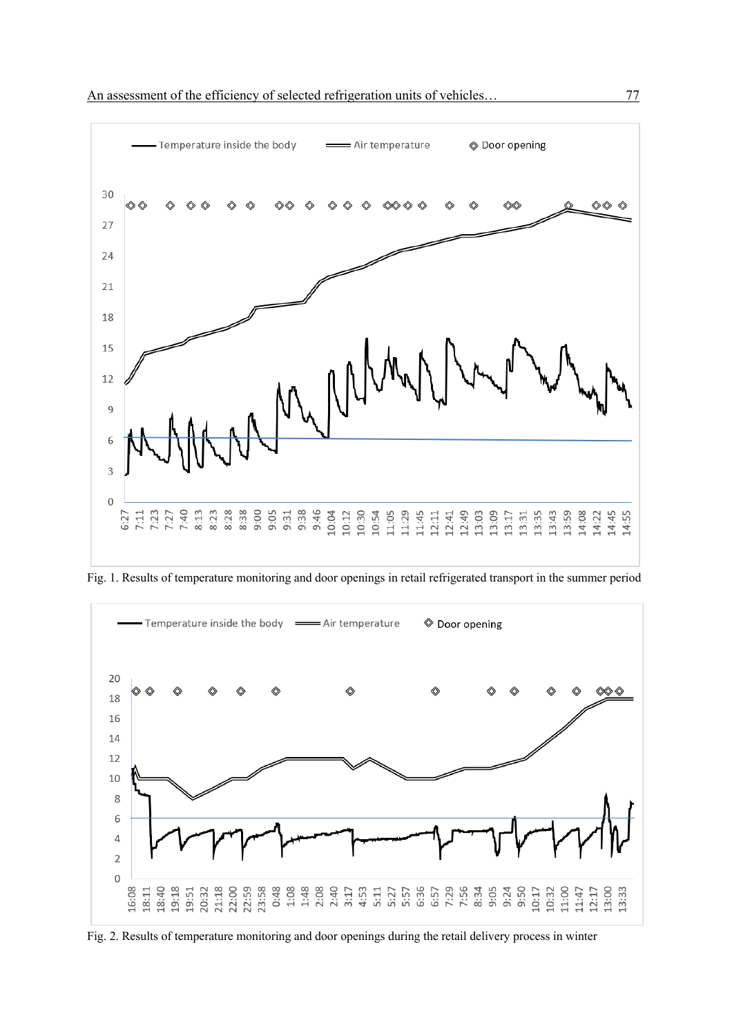

Fig. 1. Results of temperature monitoring and door openings in retail refrigerated transport in the summer period



Fig. 2. Results of temperature monitoring and door openings during the retail delivery process in winter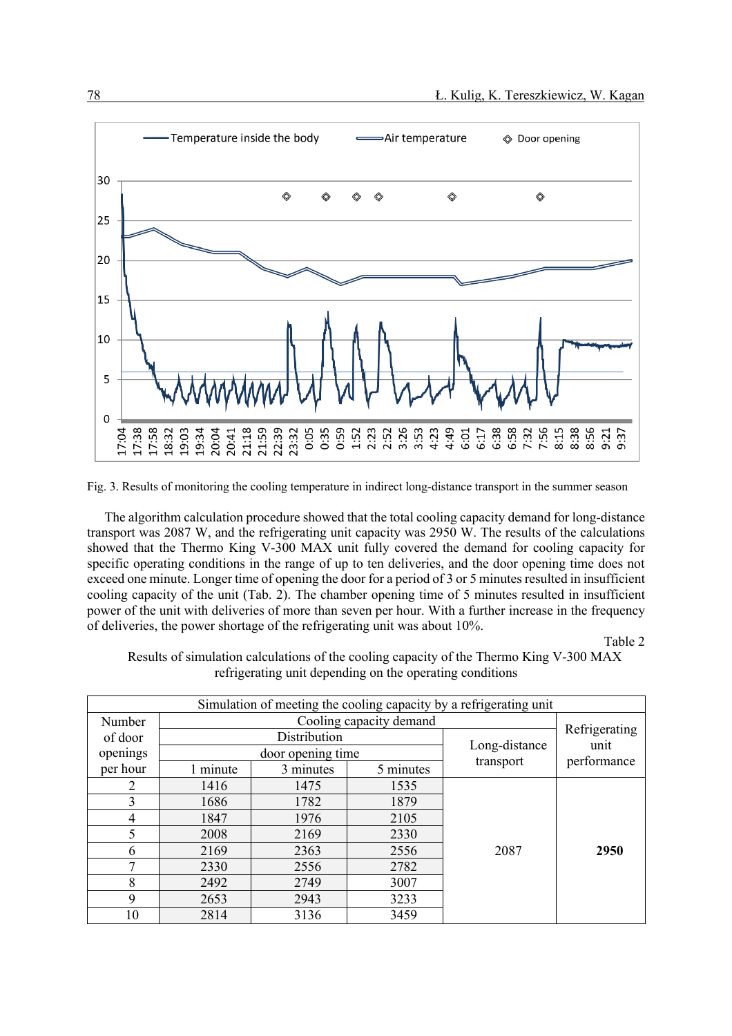

Fig. 3. Results of monitoring the cooling temperature in indirect long-distance transport in the summer season

The algorithm calculation procedure showed that the total cooling capacity demand for long-distance transport was 2087 W, and the refrigerating unit capacity was 2950 W. The results of the calculations showed that the Thermo King V-300 MAX unit fully covered the demand for cooling capacity for specific operating conditions in the range of up to ten deliveries, and the door opening time does not exceed one minute. Longer time of opening the door for a period of 3 or 5 minutes resulted in insufficient cooling capacity of the unit (Tab. 2). The chamber opening time of 5 minutes resulted in insufficient power of the unit with deliveries of more than seven per hour. With a further increase in the frequency of deliveries, the power shortage of the refrigerating unit was about 10%.

Table 2

Results of simulation calculations of the cooling capacity of the Thermo King V-300 MAX refrigerating unit depending on the operating conditions

| Simulation of meeting the cooling capacity by a refrigerating unit |                         |                                   |           |               |                     |
|--------------------------------------------------------------------|-------------------------|-----------------------------------|-----------|---------------|---------------------|
| Number                                                             | Cooling capacity demand |                                   |           |               |                     |
| of door                                                            |                         | Distribution<br>door opening time |           |               | Refrigerating       |
| openings                                                           |                         |                                   |           | Long-distance | unit<br>performance |
| per hour                                                           | 1 minute                | 3 minutes                         | 5 minutes | transport     |                     |
| 2                                                                  | 1416                    | 1475                              | 1535      | 2087          |                     |
| 3                                                                  | 1686                    | 1782                              | 1879      |               |                     |
| 4                                                                  | 1847                    | 1976                              | 2105      |               |                     |
|                                                                    | 2008                    | 2169                              | 2330      |               |                     |
| 6                                                                  | 2169                    | 2363                              | 2556      |               | 2950                |
| 7                                                                  | 2330                    | 2556                              | 2782      |               |                     |
| 8                                                                  | 2492                    | 2749                              | 3007      |               |                     |
| 9                                                                  | 2653                    | 2943                              | 3233      |               |                     |
| 10                                                                 | 2814                    | 3136                              | 3459      |               |                     |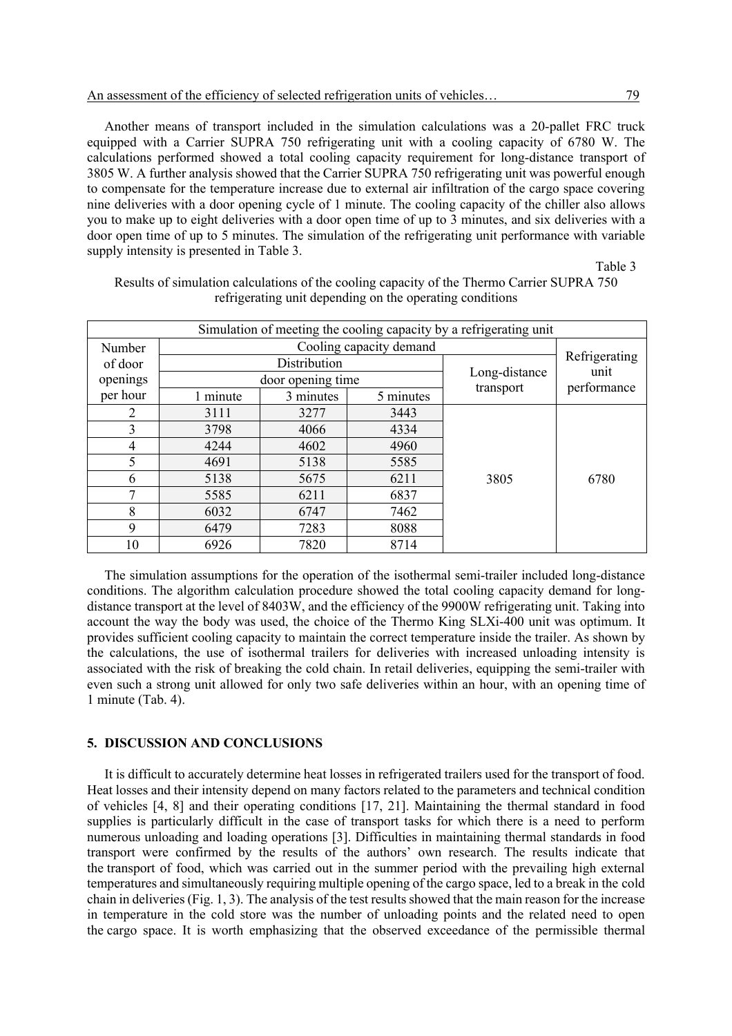Another means of transport included in the simulation calculations was a 20-pallet FRC truck equipped with a Carrier SUPRA 750 refrigerating unit with a cooling capacity of 6780 W. The calculations performed showed a total cooling capacity requirement for long-distance transport of 3805 W. A further analysis showed that the Carrier SUPRA 750 refrigerating unit was powerful enough to compensate for the temperature increase due to external air infiltration of the cargo space covering nine deliveries with a door opening cycle of 1 minute. The cooling capacity of the chiller also allows you to make up to eight deliveries with a door open time of up to 3 minutes, and six deliveries with a door open time of up to 5 minutes. The simulation of the refrigerating unit performance with variable supply intensity is presented in Table 3.

Table 3

| Simulation of meeting the cooling capacity by a refrigerating unit |                         |                   |           |               |               |  |
|--------------------------------------------------------------------|-------------------------|-------------------|-----------|---------------|---------------|--|
| Number                                                             | Cooling capacity demand |                   |           |               |               |  |
| of door                                                            |                         | Distribution      |           |               | Refrigerating |  |
| openings                                                           |                         | door opening time |           | Long-distance | unit          |  |
| per hour                                                           | 1 minute                | 3 minutes         | 5 minutes | transport     | performance   |  |
| 2                                                                  | 3111                    | 3277              | 3443      | 3805          |               |  |
| 3                                                                  | 3798                    | 4066              | 4334      |               |               |  |
| 4                                                                  | 4244                    | 4602              | 4960      |               |               |  |
| 5                                                                  | 4691                    | 5138              | 5585      |               |               |  |
| 6                                                                  | 5138                    | 5675              | 6211      |               | 6780          |  |
|                                                                    | 5585                    | 6211              | 6837      |               |               |  |
| 8                                                                  | 6032                    | 6747              | 7462      |               |               |  |
| 9                                                                  | 6479                    | 7283              | 8088      |               |               |  |
| 10                                                                 | 6926                    | 7820              | 8714      |               |               |  |

Results of simulation calculations of the cooling capacity of the Thermo Carrier SUPRA 750 refrigerating unit depending on the operating conditions

The simulation assumptions for the operation of the isothermal semi-trailer included long-distance conditions. The algorithm calculation procedure showed the total cooling capacity demand for longdistance transport at the level of 8403W, and the efficiency of the 9900W refrigerating unit. Taking into account the way the body was used, the choice of the Thermo King SLXi-400 unit was optimum. It provides sufficient cooling capacity to maintain the correct temperature inside the trailer. As shown by the calculations, the use of isothermal trailers for deliveries with increased unloading intensity is associated with the risk of breaking the cold chain. In retail deliveries, equipping the semi-trailer with even such a strong unit allowed for only two safe deliveries within an hour, with an opening time of 1 minute (Tab. 4).

### **5. DISCUSSION AND CONCLUSIONS**

It is difficult to accurately determine heat losses in refrigerated trailers used for the transport of food. Heat losses and their intensity depend on many factors related to the parameters and technical condition of vehicles [4, 8] and their operating conditions [17, 21]. Maintaining the thermal standard in food supplies is particularly difficult in the case of transport tasks for which there is a need to perform numerous unloading and loading operations [3]. Difficulties in maintaining thermal standards in food transport were confirmed by the results of the authors' own research. The results indicate that the transport of food, which was carried out in the summer period with the prevailing high external temperatures and simultaneously requiring multiple opening of the cargo space, led to a break in the cold chain in deliveries (Fig. 1, 3). The analysis of the test results showed that the main reason for the increase in temperature in the cold store was the number of unloading points and the related need to open the cargo space. It is worth emphasizing that the observed exceedance of the permissible thermal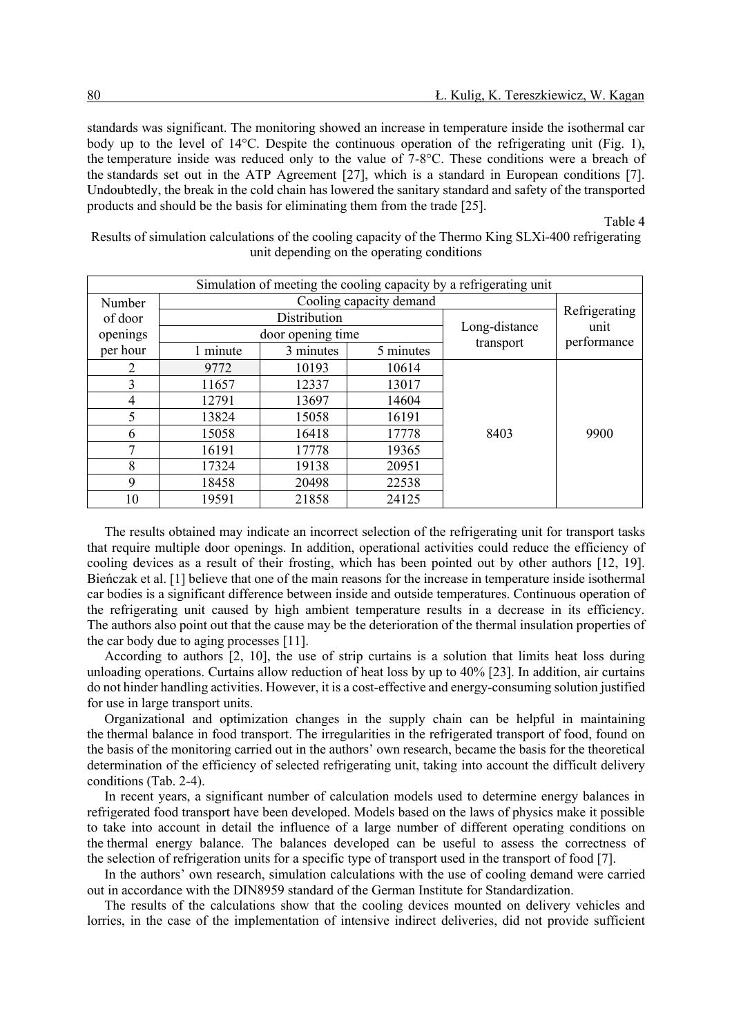standards was significant. The monitoring showed an increase in temperature inside the isothermal car body up to the level of 14°C. Despite the continuous operation of the refrigerating unit (Fig. 1), the temperature inside was reduced only to the value of 7-8°C. These conditions were a breach of the standards set out in the ATP Agreement [27], which is a standard in European conditions [7]. Undoubtedly, the break in the cold chain has lowered the sanitary standard and safety of the transported products and should be the basis for eliminating them from the trade [25].

Table 4

| Simulation of meeting the cooling capacity by a refrigerating unit |          |                                    |                         |           |               |  |
|--------------------------------------------------------------------|----------|------------------------------------|-------------------------|-----------|---------------|--|
| Number                                                             |          |                                    | Cooling capacity demand |           |               |  |
| of door                                                            |          | Distribution                       |                         |           | Refrigerating |  |
| openings                                                           |          | Long-distance<br>door opening time |                         | unit      |               |  |
| per hour                                                           | 1 minute | 3 minutes                          | 5 minutes               | transport | performance   |  |
| 2                                                                  | 9772     | 10193                              | 10614                   | 8403      |               |  |
| 3                                                                  | 11657    | 12337                              | 13017                   |           |               |  |
| 4                                                                  | 12791    | 13697                              | 14604                   |           |               |  |
| 5                                                                  | 13824    | 15058                              | 16191                   |           |               |  |
| 6                                                                  | 15058    | 16418                              | 17778                   |           | 9900          |  |
| ⇁                                                                  | 16191    | 17778                              | 19365                   |           |               |  |
| 8                                                                  | 17324    | 19138                              | 20951                   |           |               |  |
| 9                                                                  | 18458    | 20498                              | 22538                   |           |               |  |
| 10                                                                 | 19591    | 21858                              | 24125                   |           |               |  |

Results of simulation calculations of the cooling capacity of the Thermo King SLXi-400 refrigerating unit depending on the operating conditions

The results obtained may indicate an incorrect selection of the refrigerating unit for transport tasks that require multiple door openings. In addition, operational activities could reduce the efficiency of cooling devices as a result of their frosting, which has been pointed out by other authors [12, 19]. Bieńczak et al. [1] believe that one of the main reasons for the increase in temperature inside isothermal car bodies is a significant difference between inside and outside temperatures. Continuous operation of the refrigerating unit caused by high ambient temperature results in a decrease in its efficiency. The authors also point out that the cause may be the deterioration of the thermal insulation properties of the car body due to aging processes [11].

According to authors [2, 10], the use of strip curtains is a solution that limits heat loss during unloading operations. Curtains allow reduction of heat loss by up to 40% [23]. In addition, air curtains do not hinder handling activities. However, it is a cost-effective and energy-consuming solution justified for use in large transport units.

Organizational and optimization changes in the supply chain can be helpful in maintaining the thermal balance in food transport. The irregularities in the refrigerated transport of food, found on the basis of the monitoring carried out in the authors' own research, became the basis for the theoretical determination of the efficiency of selected refrigerating unit, taking into account the difficult delivery conditions (Tab. 2-4).

In recent years, a significant number of calculation models used to determine energy balances in refrigerated food transport have been developed. Models based on the laws of physics make it possible to take into account in detail the influence of a large number of different operating conditions on the thermal energy balance. The balances developed can be useful to assess the correctness of the selection of refrigeration units for a specific type of transport used in the transport of food [7].

In the authors' own research, simulation calculations with the use of cooling demand were carried out in accordance with the DIN8959 standard of the German Institute for Standardization.

The results of the calculations show that the cooling devices mounted on delivery vehicles and lorries, in the case of the implementation of intensive indirect deliveries, did not provide sufficient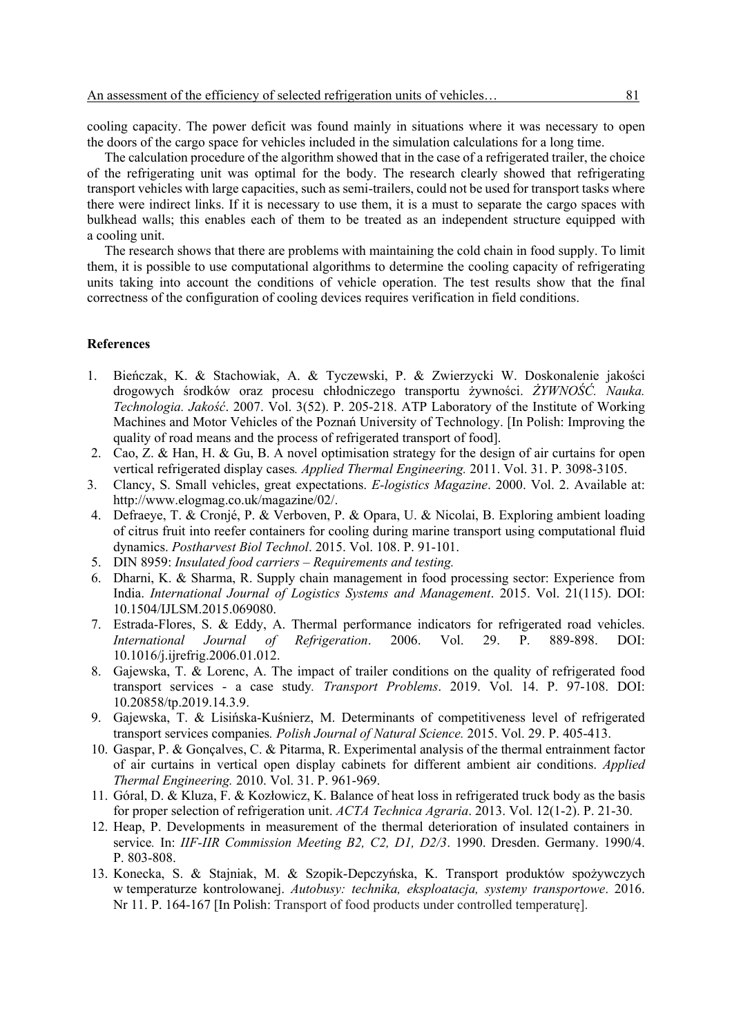cooling capacity. The power deficit was found mainly in situations where it was necessary to open the doors of the cargo space for vehicles included in the simulation calculations for a long time.

The calculation procedure of the algorithm showed that in the case of a refrigerated trailer, the choice of the refrigerating unit was optimal for the body. The research clearly showed that refrigerating transport vehicles with large capacities, such as semi-trailers, could not be used for transport tasks where there were indirect links. If it is necessary to use them, it is a must to separate the cargo spaces with bulkhead walls; this enables each of them to be treated as an independent structure equipped with a cooling unit.

The research shows that there are problems with maintaining the cold chain in food supply. To limit them, it is possible to use computational algorithms to determine the cooling capacity of refrigerating units taking into account the conditions of vehicle operation. The test results show that the final correctness of the configuration of cooling devices requires verification in field conditions.

### **References**

- 1. Bieńczak, K. & Stachowiak, A. & Tyczewski, P. & Zwierzycki W. Doskonalenie jakości drogowych środków oraz procesu chłodniczego transportu żywności. *ŻYWNOŚĆ. Nauka. Technologia. Jakość*. 2007. Vol. 3(52). P. 205-218. ATP Laboratory of the Institute of Working Machines and Motor Vehicles of the Poznań University of Technology. [In Polish: Improving the quality of road means and the process of refrigerated transport of food].
- 2. Cao, Z. & Han, H. & Gu, B. A novel optimisation strategy for the design of air curtains for open vertical refrigerated display cases*. Applied Thermal Engineering.* 2011. Vol. 31. P. 3098-3105.
- 3. Clancy, S. Small vehicles, great expectations. *E-logistics Magazine*. 2000. Vol. 2. Available at: http://www.elogmag.co.uk/magazine/02/.
- 4. Defraeye, T. & Cronjé, P. & Verboven, P. & Opara, U. & Nicolai, B. Exploring ambient loading of citrus fruit into reefer containers for cooling during marine transport using computational fluid dynamics. *Postharvest Biol Technol*. 2015. Vol. 108. P. 91-101.
- 5. DIN 8959: *Insulated food carriers – Requirements and testing.*
- 6. Dharni, K. & Sharma, R. Supply chain management in food processing sector: Experience from India. *International Journal of Logistics Systems and Management*. 2015. Vol. 21(115). DOI: 10.1504/IJLSM.2015.069080.
- 7. Estrada-Flores, S. & Eddy, A. Thermal performance indicators for refrigerated road vehicles. *International Journal of Refrigeration*. 2006. Vol. 29. P. 889-898. DOI: 10.1016/j.ijrefrig.2006.01.012.
- 8. Gajewska, T. & Lorenc, A. The impact of trailer conditions on the quality of refrigerated food transport services - a case study*. Transport Problems*. 2019. Vol. 14. P. 97-108. DOI: 10.20858/tp.2019.14.3.9.
- 9. Gajewska, T. & Lisińska-Kuśnierz, M. Determinants of competitiveness level of refrigerated transport services companies*. Polish Journal of Natural Science.* 2015. Vol. 29. P. 405-413.
- 10. Gaspar, P. & Gonçalves, C. & Pitarma, R. Experimental analysis of the thermal entrainment factor of air curtains in vertical open display cabinets for different ambient air conditions. *Applied Thermal Engineering.* 2010. Vol. 31. P. 961-969.
- 11. Góral, D. & Kluza, F. & Kozłowicz, K. Balance of heat loss in refrigerated truck body as the basis for proper selection of refrigeration unit. *ACTA Technica Agraria*. 2013. Vol. 12(1-2). P. 21-30.
- 12. Heap, P. Developments in measurement of the thermal deterioration of insulated containers in service*.* In: *IIF-IIR Commission Meeting B2, C2, D1, D2/3*. 1990. Dresden. Germany. 1990/4. P. 803-808.
- 13. Konecka, S. & Stajniak, M. & Szopik-Depczyńska, K. Transport produktów spożywczych w temperaturze kontrolowanej. *Autobusy: technika, eksploatacja, systemy transportowe*. 2016. Nr 11. P. 164-167 [In Polish: Transport of food products under controlled temperaturę].